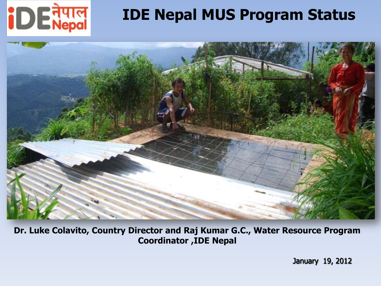

#### **IDE Nepal MUS Program Status**



**Dr. Luke Colavito, Country Director and Raj Kumar G.C., Water Resource Program Coordinator ,IDE Nepal**

January 19, 2012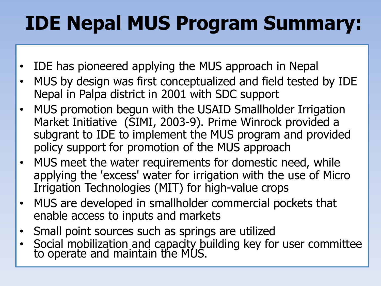## **IDE Nepal MUS Program Summary:**

- IDE has pioneered applying the MUS approach in Nepal
- MUS by design was first conceptualized and field tested by IDE Nepal in Palpa district in 2001 with SDC support
- MUS promotion begun with the USAID Smallholder Irrigation Market Initiative (SIMI, 2003-9). Prime Winrock provided a subgrant to IDE to implement the MUS program and provided policy support for promotion of the MUS approach
- MUS meet the water requirements for domestic need, while applying the 'excess' water for irrigation with the use of Micro Irrigation Technologies (MIT) for high-value crops
- MUS are developed in smallholder commercial pockets that enable access to inputs and markets
- Small point sources such as springs are utilized
- Social mobilization and capacity building key for user committee to operate and maintain the MUS.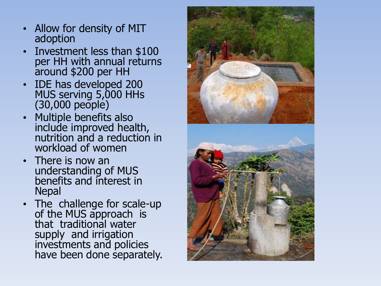- Allow for density of MIT adoption
- Investment less than \$100 per HH with annual returns around \$200 per HH
- IDE has developed 200 MUS serving 5,000 HHs (30,000 people)
- Multiple benefits also include improved health, nutrition and a reduction in workload of women
- There is now an understanding of MUS benefits and interest in Nepal
- The challenge for scale-up of the MUS approach is that traditional water supply and irrigation investments and policies have been done separately.

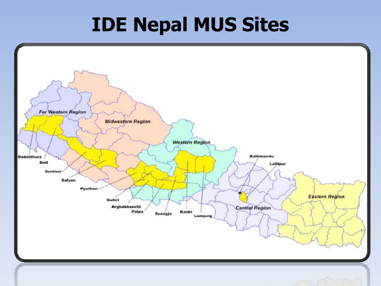### **IDE Nepal MUS Sites**

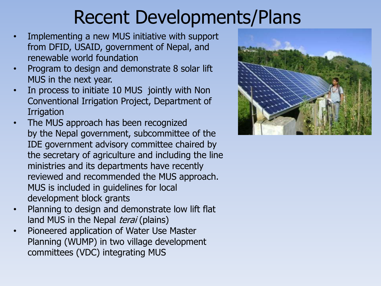#### Recent Developments/Plans

- Implementing a new MUS initiative with support from DFID, USAID, government of Nepal, and renewable world foundation
- Program to design and demonstrate 8 solar lift MUS in the next year.
- In process to initiate 10 MUS jointly with Non Conventional Irrigation Project, Department of **Irrigation**
- The MUS approach has been recognized by the Nepal government, subcommittee of the IDE government advisory committee chaired by the secretary of agriculture and including the line ministries and its departments have recently reviewed and recommended the MUS approach. MUS is included in guidelines for local development block grants
- Planning to design and demonstrate low lift flat land MUS in the Nepal terai (plains)
- Pioneered application of Water Use Master Planning (WUMP) in two village development committees (VDC) integrating MUS